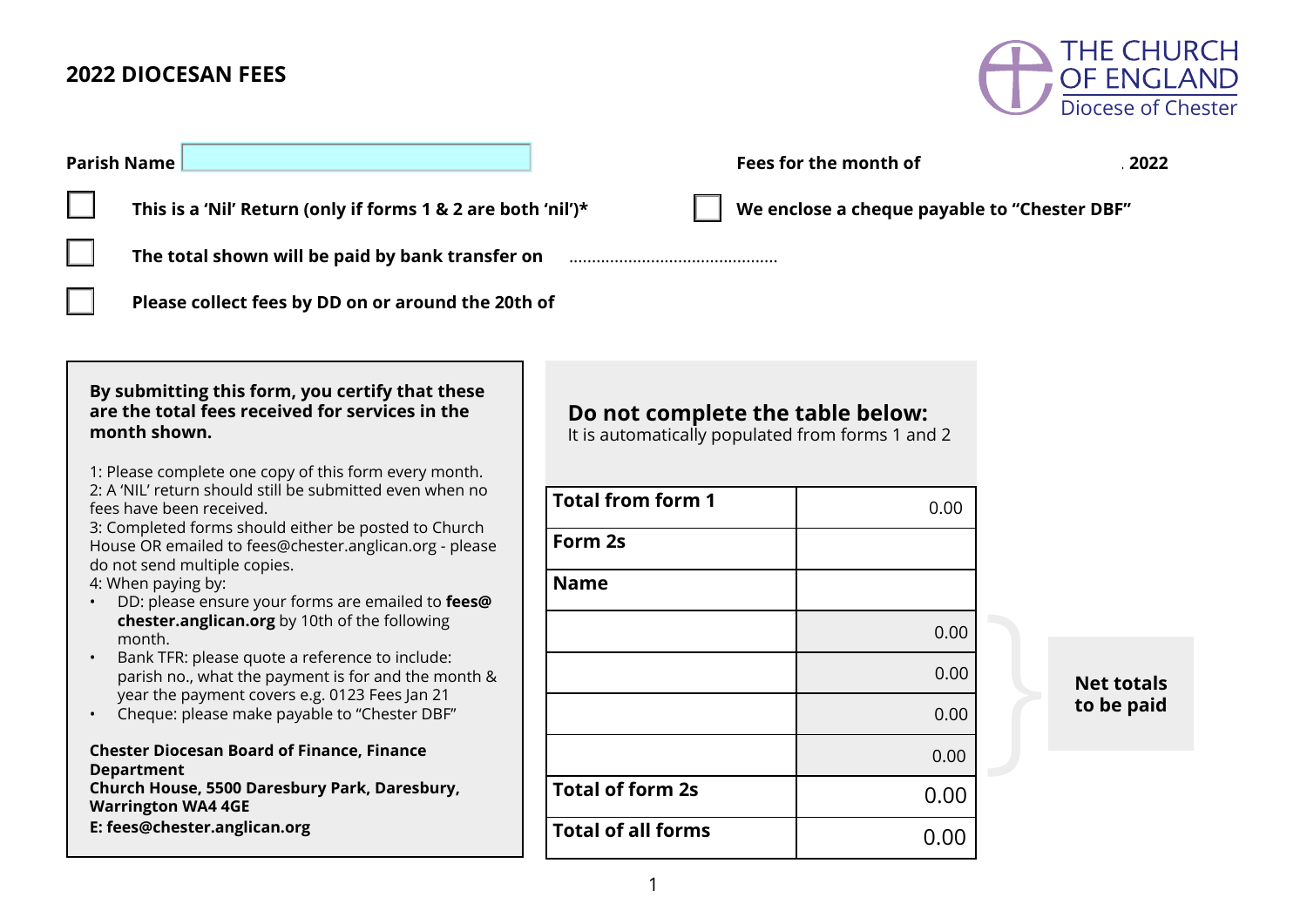## **2022 DIOCESAN FEES**



| <b>Parish Name</b>                                                                                                                                     | Fees for the month of                                                                |      |                   |  |  |  |  |
|--------------------------------------------------------------------------------------------------------------------------------------------------------|--------------------------------------------------------------------------------------|------|-------------------|--|--|--|--|
| $\Box$<br>We enclose a cheque payable to "Chester DBF"<br>This is a 'Nil' Return (only if forms 1 & 2 are both 'nil')*                                 |                                                                                      |      |                   |  |  |  |  |
| The total shown will be paid by bank transfer on                                                                                                       |                                                                                      |      |                   |  |  |  |  |
| Please collect fees by DD on or around the 20th of                                                                                                     |                                                                                      |      |                   |  |  |  |  |
|                                                                                                                                                        |                                                                                      |      |                   |  |  |  |  |
| By submitting this form, you certify that these<br>are the total fees received for services in the<br>month shown.                                     | Do not complete the table below:<br>It is automatically populated from forms 1 and 2 |      |                   |  |  |  |  |
| 1: Please complete one copy of this form every month.<br>2: A 'NIL' return should still be submitted even when no<br>fees have been received.          | <b>Total from form 1</b>                                                             | 0.00 |                   |  |  |  |  |
| 3: Completed forms should either be posted to Church<br>House OR emailed to fees@chester.anglican.org - please<br>do not send multiple copies.         | Form 2s                                                                              |      |                   |  |  |  |  |
| 4: When paying by:<br>DD: please ensure your forms are emailed to fees@                                                                                | <b>Name</b>                                                                          |      |                   |  |  |  |  |
| chester.anglican.org by 10th of the following<br>month.                                                                                                |                                                                                      | 0.00 |                   |  |  |  |  |
| Bank TFR: please quote a reference to include:<br>parish no., what the payment is for and the month &<br>year the payment covers e.g. 0123 Fees Jan 21 |                                                                                      | 0.00 | <b>Net totals</b> |  |  |  |  |
| Cheque: please make payable to "Chester DBF"                                                                                                           |                                                                                      | 0.00 | to be paid        |  |  |  |  |
| <b>Chester Diocesan Board of Finance, Finance</b><br><b>Department</b>                                                                                 |                                                                                      | 0.00 |                   |  |  |  |  |
| Church House, 5500 Daresbury Park, Daresbury,<br><b>Warrington WA4 4GE</b>                                                                             | <b>Total of form 2s</b>                                                              | 0.00 |                   |  |  |  |  |
| E: fees@chester.anglican.org                                                                                                                           | <b>Total of all forms</b>                                                            | 0.00 |                   |  |  |  |  |
|                                                                                                                                                        |                                                                                      |      |                   |  |  |  |  |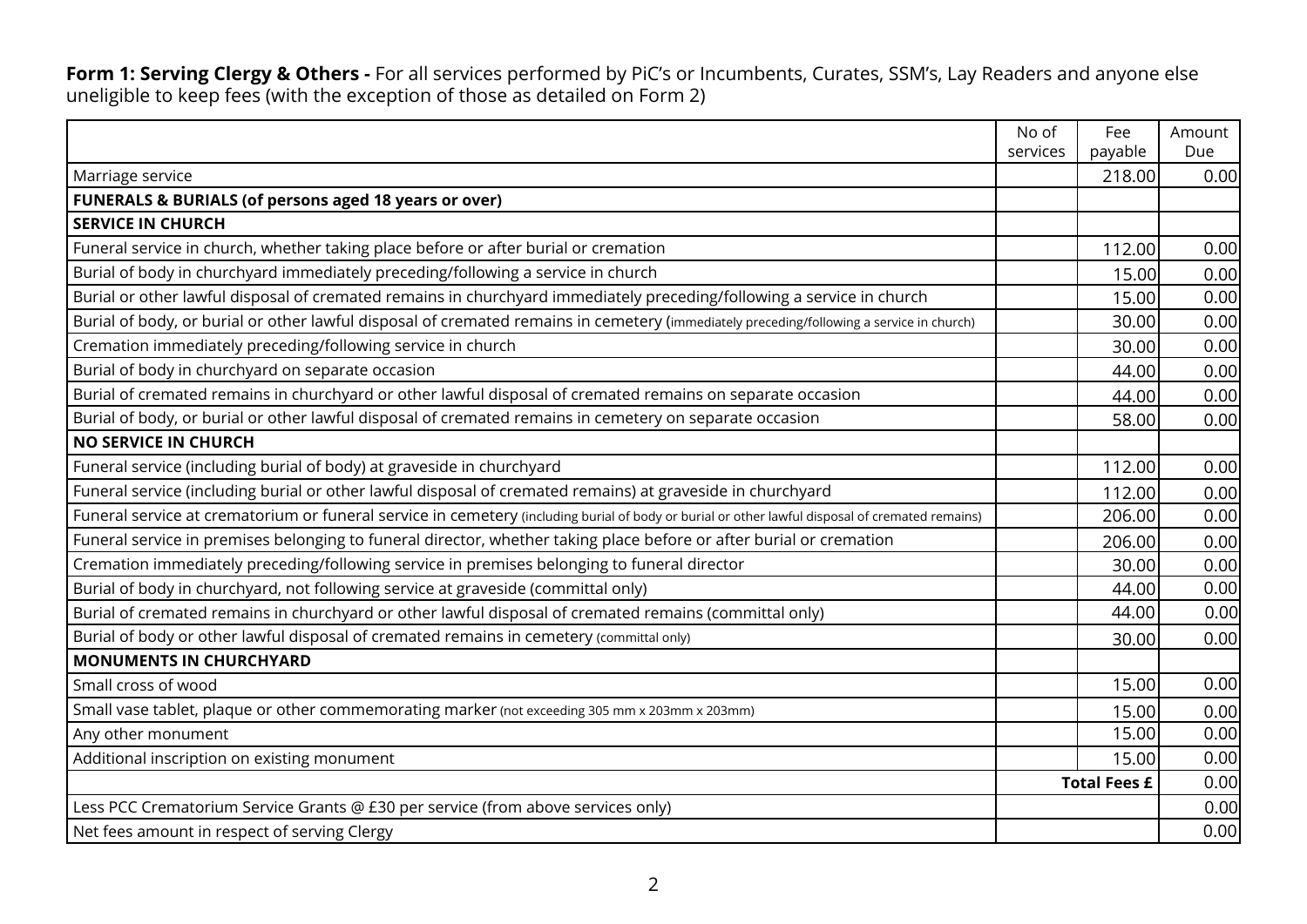**Form 1: Serving Clergy & Others -** For all services performed by PiC's or Incumbents, Curates, SSM's, Lay Readers and anyone else uneligible to keep fees (with the exception of those as detailed on Form 2)

|                                                                                                                                                 | No of<br>services | Fee<br>payable      | Amount<br>Due |
|-------------------------------------------------------------------------------------------------------------------------------------------------|-------------------|---------------------|---------------|
| Marriage service                                                                                                                                |                   | 218.00              | 0.00          |
| <b>FUNERALS &amp; BURIALS (of persons aged 18 years or over)</b>                                                                                |                   |                     |               |
| <b>SERVICE IN CHURCH</b>                                                                                                                        |                   |                     |               |
| Funeral service in church, whether taking place before or after burial or cremation                                                             |                   | 112.00              | 0.00          |
| Burial of body in churchyard immediately preceding/following a service in church                                                                |                   | 15.00               | 0.00          |
| Burial or other lawful disposal of cremated remains in churchyard immediately preceding/following a service in church                           |                   | 15.00               | 0.00          |
| Burial of body, or burial or other lawful disposal of cremated remains in cemetery (immediately preceding/following a service in church)        |                   | 30.00               | 0.00          |
| Cremation immediately preceding/following service in church                                                                                     |                   | 30.00               | 0.00          |
| Burial of body in churchyard on separate occasion                                                                                               |                   | 44.00               | 0.00          |
| Burial of cremated remains in churchyard or other lawful disposal of cremated remains on separate occasion                                      |                   | 44.00               | 0.00          |
| Burial of body, or burial or other lawful disposal of cremated remains in cemetery on separate occasion                                         |                   | 58.00               | 0.00          |
| <b>NO SERVICE IN CHURCH</b>                                                                                                                     |                   |                     |               |
| Funeral service (including burial of body) at graveside in churchyard                                                                           |                   | 112.00              | 0.00          |
| Funeral service (including burial or other lawful disposal of cremated remains) at graveside in churchyard                                      |                   | 112.00              | 0.00          |
| Funeral service at crematorium or funeral service in cemetery (including burial of body or burial or other lawful disposal of cremated remains) |                   | 206.00              | 0.00          |
| Funeral service in premises belonging to funeral director, whether taking place before or after burial or cremation                             |                   | 206.00              | 0.00          |
| Cremation immediately preceding/following service in premises belonging to funeral director                                                     |                   | 30.00               | 0.00          |
| Burial of body in churchyard, not following service at graveside (committal only)                                                               |                   | 44.00               | 0.00          |
| Burial of cremated remains in churchyard or other lawful disposal of cremated remains (committal only)                                          |                   | 44.00               | 0.00          |
| Burial of body or other lawful disposal of cremated remains in cemetery (committal only)                                                        |                   | 30.00               | 0.00          |
| <b>MONUMENTS IN CHURCHYARD</b>                                                                                                                  |                   |                     |               |
| Small cross of wood                                                                                                                             |                   | 15.00               | 0.00          |
| Small vase tablet, plaque or other commemorating marker (not exceeding 305 mm x 203mm x 203mm)                                                  |                   | 15.00               | 0.00          |
| Any other monument                                                                                                                              |                   | 15.00               | 0.00          |
| Additional inscription on existing monument                                                                                                     |                   | 15.00               | 0.00          |
|                                                                                                                                                 |                   | <b>Total Fees £</b> | 0.00          |
| Less PCC Crematorium Service Grants @ £30 per service (from above services only)                                                                |                   |                     | 0.00          |
| Net fees amount in respect of serving Clergy                                                                                                    |                   |                     | 0.00          |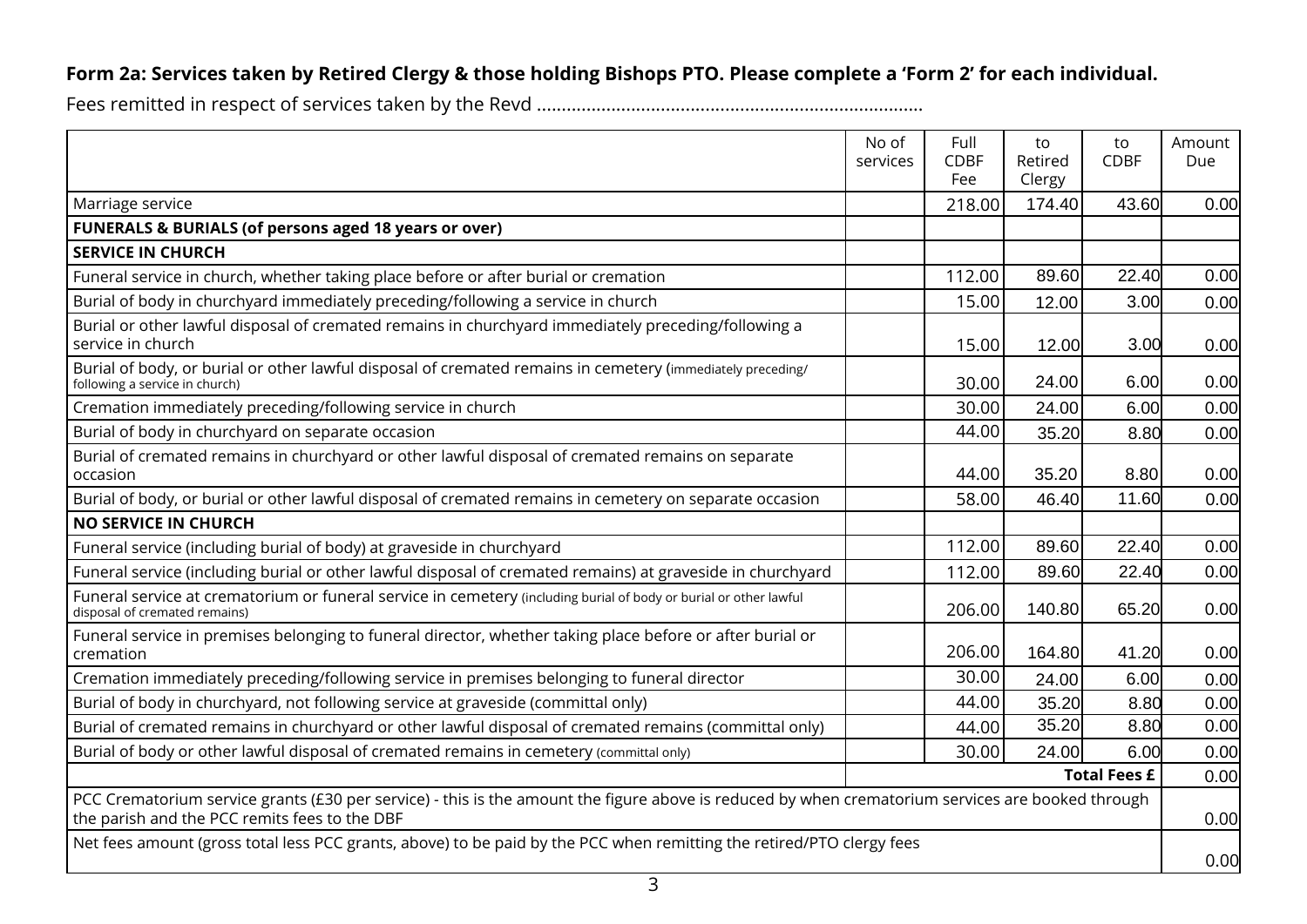### **Form 2a: Services taken by Retired Clergy & those holding Bishops PTO. Please complete a 'Form 2' for each individual.**

|                                                                                                                                                                                                    | No of<br>services | Full<br><b>CDBF</b><br>Fee | to<br>Retired<br>Clergy | to<br><b>CDBF</b> | Amount<br>Due |
|----------------------------------------------------------------------------------------------------------------------------------------------------------------------------------------------------|-------------------|----------------------------|-------------------------|-------------------|---------------|
| Marriage service                                                                                                                                                                                   |                   | 218.00                     | 174.40                  | 43.60             | 0.00          |
| <b>FUNERALS &amp; BURIALS (of persons aged 18 years or over)</b>                                                                                                                                   |                   |                            |                         |                   |               |
| <b>SERVICE IN CHURCH</b>                                                                                                                                                                           |                   |                            |                         |                   |               |
| Funeral service in church, whether taking place before or after burial or cremation                                                                                                                |                   | 112.00                     | 89.60                   | 22.40             | 0.00          |
| Burial of body in churchyard immediately preceding/following a service in church                                                                                                                   |                   | 15.00                      | 12.00                   | 3.00              | 0.00          |
| Burial or other lawful disposal of cremated remains in churchyard immediately preceding/following a<br>service in church                                                                           |                   | 15.00                      | 12.00                   | 3.00              | 0.00          |
| Burial of body, or burial or other lawful disposal of cremated remains in cemetery (immediately preceding/<br>following a service in church)                                                       |                   | 30.00                      | 24.00                   | 6.00              | 0.00          |
| Cremation immediately preceding/following service in church                                                                                                                                        |                   | 30.00                      | 24.00                   | 6.00              | 0.00          |
| Burial of body in churchyard on separate occasion                                                                                                                                                  |                   | 44.00                      | 35.20                   | 8.80              | 0.00          |
| Burial of cremated remains in churchyard or other lawful disposal of cremated remains on separate<br>occasion                                                                                      |                   | 44.00                      | 35.20                   | 8.80              | 0.00          |
| Burial of body, or burial or other lawful disposal of cremated remains in cemetery on separate occasion                                                                                            |                   | 58.00                      | 46.40                   | 11.60             | 0.00          |
| <b>NO SERVICE IN CHURCH</b>                                                                                                                                                                        |                   |                            |                         |                   |               |
| Funeral service (including burial of body) at graveside in churchyard                                                                                                                              |                   | 112.00                     | 89.60                   | 22.40             | 0.00          |
| Funeral service (including burial or other lawful disposal of cremated remains) at graveside in churchyard                                                                                         |                   | 112.00                     | 89.60                   | 22.40             | 0.00          |
| Funeral service at crematorium or funeral service in cemetery (including burial of body or burial or other lawful<br>disposal of cremated remains)                                                 |                   | 206.00                     | 140.80                  | 65.20             | 0.00          |
| Funeral service in premises belonging to funeral director, whether taking place before or after burial or<br>cremation                                                                             |                   | 206.00                     | 164.80                  | 41.20             | 0.00          |
| Cremation immediately preceding/following service in premises belonging to funeral director                                                                                                        |                   | 30.00                      | 24.00                   | 6.00              | 0.00          |
| Burial of body in churchyard, not following service at graveside (committal only)                                                                                                                  |                   | 44.00                      | 35.20                   | 8.80              | 0.00          |
| Burial of cremated remains in churchyard or other lawful disposal of cremated remains (committal only)                                                                                             |                   | 44.00                      | 35.20                   | 8.80              | 0.00          |
| Burial of body or other lawful disposal of cremated remains in cemetery (committal only)                                                                                                           |                   | 30.00                      | 24.00                   | 6.00              | 0.00          |
| <b>Total Fees £</b>                                                                                                                                                                                |                   |                            |                         |                   | 0.00          |
| PCC Crematorium service grants (£30 per service) - this is the amount the figure above is reduced by when crematorium services are booked through<br>the parish and the PCC remits fees to the DBF |                   |                            |                         |                   | 0.00          |
| Net fees amount (gross total less PCC grants, above) to be paid by the PCC when remitting the retired/PTO clergy fees                                                                              |                   |                            |                         | 0.00              |               |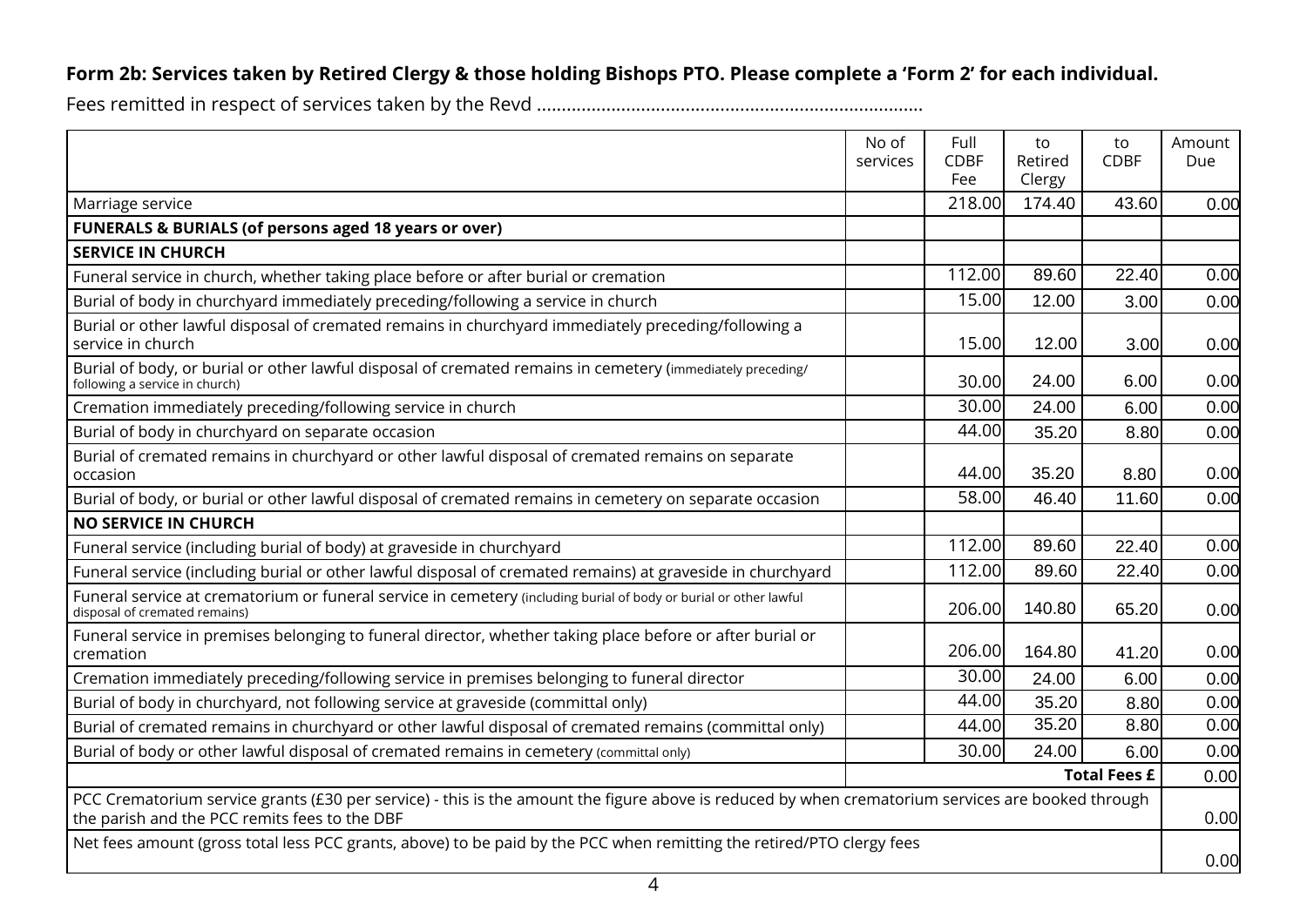### **Form 2b: Services taken by Retired Clergy & those holding Bishops PTO. Please complete a 'Form 2' for each individual.**

|                                                                                                                                                                                                    | No of<br>services | Full<br><b>CDBF</b><br>Fee | to<br>Retired<br>Clergy | to<br><b>CDBF</b> | Amount<br>Due |
|----------------------------------------------------------------------------------------------------------------------------------------------------------------------------------------------------|-------------------|----------------------------|-------------------------|-------------------|---------------|
| Marriage service                                                                                                                                                                                   |                   | 218.00                     | 174.40                  | 43.60             | 0.00          |
| <b>FUNERALS &amp; BURIALS (of persons aged 18 years or over)</b>                                                                                                                                   |                   |                            |                         |                   |               |
| <b>SERVICE IN CHURCH</b>                                                                                                                                                                           |                   |                            |                         |                   |               |
| Funeral service in church, whether taking place before or after burial or cremation                                                                                                                |                   | 112.00                     | 89.60                   | 22.40             | 0.00          |
| Burial of body in churchyard immediately preceding/following a service in church                                                                                                                   |                   | 15.00                      | 12.00                   | 3.00              | 0.00          |
| Burial or other lawful disposal of cremated remains in churchyard immediately preceding/following a<br>service in church                                                                           |                   | 15.00                      | 12.00                   | 3.00              | 0.00          |
| Burial of body, or burial or other lawful disposal of cremated remains in cemetery (immediately preceding/<br>following a service in church)                                                       |                   | 30.00                      | 24.00                   | 6.00              | 0.00          |
| Cremation immediately preceding/following service in church                                                                                                                                        |                   | 30.00                      | 24.00                   | 6.00              | 0.00          |
| Burial of body in churchyard on separate occasion                                                                                                                                                  |                   | 44.00                      | 35.20                   | 8.80              | 0.00          |
| Burial of cremated remains in churchyard or other lawful disposal of cremated remains on separate<br>occasion                                                                                      |                   | 44.00                      | 35.20                   | 8.80              | 0.00          |
| Burial of body, or burial or other lawful disposal of cremated remains in cemetery on separate occasion                                                                                            |                   | 58.00                      | 46.40                   | 11.60             | 0.00          |
| <b>NO SERVICE IN CHURCH</b>                                                                                                                                                                        |                   |                            |                         |                   |               |
| Funeral service (including burial of body) at graveside in churchyard                                                                                                                              |                   | 112.00                     | 89.60                   | 22.40             | 0.00          |
| Funeral service (including burial or other lawful disposal of cremated remains) at graveside in churchyard                                                                                         |                   | 112.00                     | 89.60                   | 22.40             | 0.00          |
| Funeral service at crematorium or funeral service in cemetery (including burial of body or burial or other lawful<br>disposal of cremated remains)                                                 |                   | 206.00                     | 140.80                  | 65.20             | 0.00          |
| Funeral service in premises belonging to funeral director, whether taking place before or after burial or<br>cremation                                                                             |                   | 206.00                     | 164.80                  | 41.20             | 0.00          |
| Cremation immediately preceding/following service in premises belonging to funeral director                                                                                                        |                   | 30.00                      | 24.00                   | 6.00              | 0.00          |
| Burial of body in churchyard, not following service at graveside (committal only)                                                                                                                  |                   | 44.00                      | 35.20                   | 8.80              | 0.00          |
| Burial of cremated remains in churchyard or other lawful disposal of cremated remains (committal only)                                                                                             |                   | 44.00                      | 35.20                   | 8.80              | 0.00          |
| Burial of body or other lawful disposal of cremated remains in cemetery (committal only)                                                                                                           |                   | 30.00                      | 24.00                   | 6.00              | 0.00          |
| <b>Total Fees £</b>                                                                                                                                                                                |                   |                            |                         | 0.00              |               |
| PCC Crematorium service grants (£30 per service) - this is the amount the figure above is reduced by when crematorium services are booked through<br>the parish and the PCC remits fees to the DBF |                   |                            |                         | 0.00              |               |
| Net fees amount (gross total less PCC grants, above) to be paid by the PCC when remitting the retired/PTO clergy fees                                                                              |                   |                            |                         | 0.00              |               |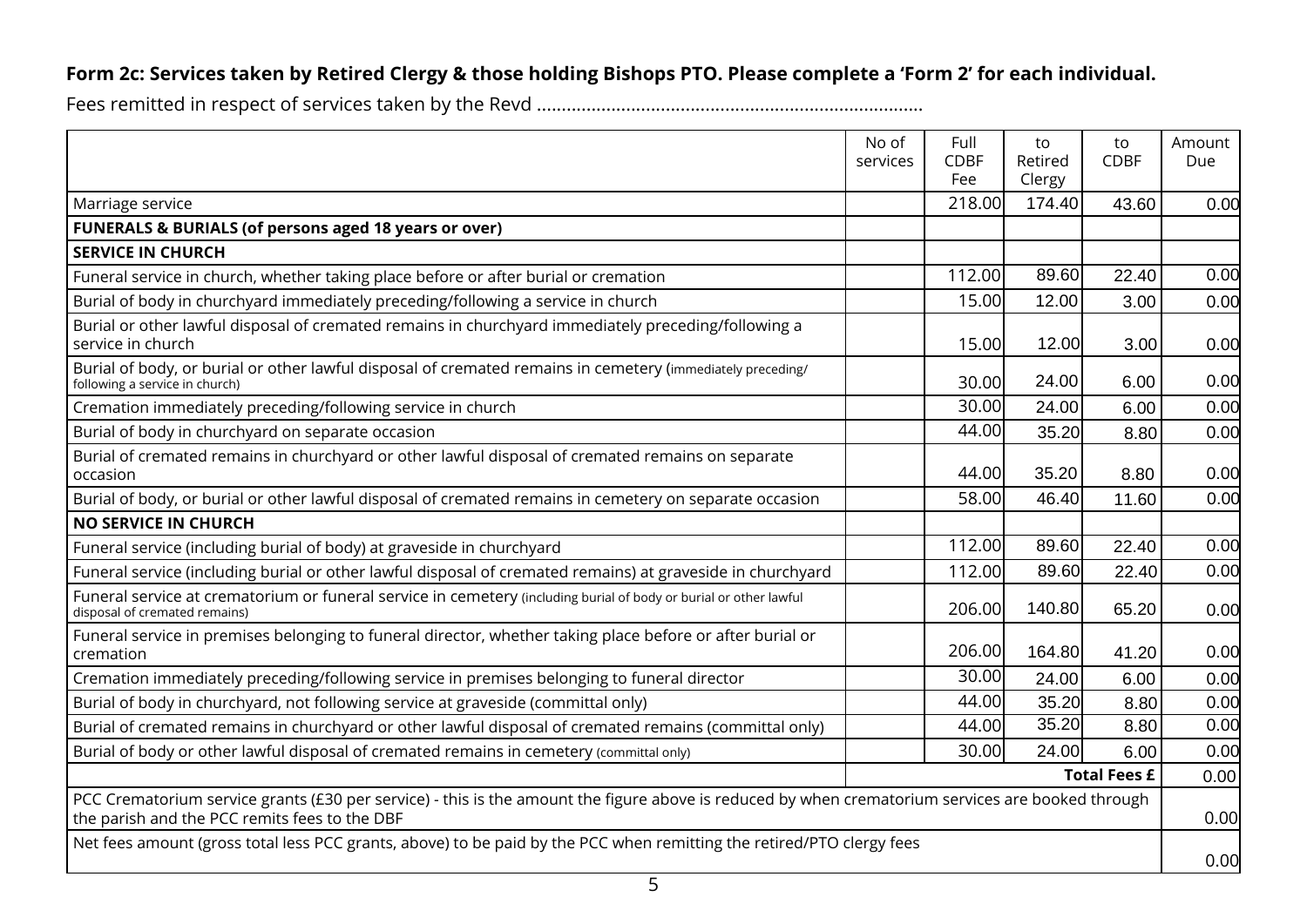### **Form 2c: Services taken by Retired Clergy & those holding Bishops PTO. Please complete a 'Form 2' for each individual.**

|                                                                                                                                                                                                    | No of<br>services | Full<br><b>CDBF</b><br>Fee | to<br>Retired<br>Clergy | to<br><b>CDBF</b> | Amount<br>Due |
|----------------------------------------------------------------------------------------------------------------------------------------------------------------------------------------------------|-------------------|----------------------------|-------------------------|-------------------|---------------|
| Marriage service                                                                                                                                                                                   |                   | 218.00                     | 174.40                  | 43.60             | 0.00          |
| <b>FUNERALS &amp; BURIALS (of persons aged 18 years or over)</b>                                                                                                                                   |                   |                            |                         |                   |               |
| <b>SERVICE IN CHURCH</b>                                                                                                                                                                           |                   |                            |                         |                   |               |
| Funeral service in church, whether taking place before or after burial or cremation                                                                                                                |                   | 112.00                     | 89.60                   | 22.40             | 0.00          |
| Burial of body in churchyard immediately preceding/following a service in church                                                                                                                   |                   | 15.00                      | 12.00                   | 3.00              | 0.00          |
| Burial or other lawful disposal of cremated remains in churchyard immediately preceding/following a<br>service in church                                                                           |                   | 15.00                      | 12.00                   | 3.00              | 0.00          |
| Burial of body, or burial or other lawful disposal of cremated remains in cemetery (immediately preceding/<br>following a service in church)                                                       |                   | 30.00                      | 24.00                   | 6.00              | 0.00          |
| Cremation immediately preceding/following service in church                                                                                                                                        |                   | 30.00                      | 24.00                   | 6.00              | 0.00          |
| Burial of body in churchyard on separate occasion                                                                                                                                                  |                   | 44.00                      | 35.20                   | 8.80              | 0.00          |
| Burial of cremated remains in churchyard or other lawful disposal of cremated remains on separate<br>occasion                                                                                      |                   | 44.00                      | 35.20                   | 8.80              | 0.00          |
| Burial of body, or burial or other lawful disposal of cremated remains in cemetery on separate occasion                                                                                            |                   | 58.00                      | 46.40                   | 11.60             | 0.00          |
| <b>NO SERVICE IN CHURCH</b>                                                                                                                                                                        |                   |                            |                         |                   |               |
| Funeral service (including burial of body) at graveside in churchyard                                                                                                                              |                   | 112.00                     | 89.60                   | 22.40             | 0.00          |
| Funeral service (including burial or other lawful disposal of cremated remains) at graveside in churchyard                                                                                         |                   | 112.00                     | 89.60                   | 22.40             | 0.00          |
| Funeral service at crematorium or funeral service in cemetery (including burial of body or burial or other lawful<br>disposal of cremated remains)                                                 |                   | 206.00                     | 140.80                  | 65.20             | 0.00          |
| Funeral service in premises belonging to funeral director, whether taking place before or after burial or<br>cremation                                                                             |                   | 206.00                     | 164.80                  | 41.20             | 0.00          |
| Cremation immediately preceding/following service in premises belonging to funeral director                                                                                                        |                   | 30.00                      | 24.00                   | 6.00              | 0.00          |
| Burial of body in churchyard, not following service at graveside (committal only)                                                                                                                  |                   | 44.00                      | 35.20                   | 8.80              | 0.00          |
| Burial of cremated remains in churchyard or other lawful disposal of cremated remains (committal only)                                                                                             |                   | 44.00                      | 35.20                   | 8.80              | 0.00          |
| Burial of body or other lawful disposal of cremated remains in cemetery (committal only)                                                                                                           |                   | 30.00                      | 24.00                   | 6.00              | 0.00          |
| <b>Total Fees £</b>                                                                                                                                                                                |                   |                            |                         | 0.00              |               |
| PCC Crematorium service grants (£30 per service) - this is the amount the figure above is reduced by when crematorium services are booked through<br>the parish and the PCC remits fees to the DBF |                   |                            |                         | 0.00              |               |
| Net fees amount (gross total less PCC grants, above) to be paid by the PCC when remitting the retired/PTO clergy fees                                                                              |                   |                            |                         | 0.00              |               |